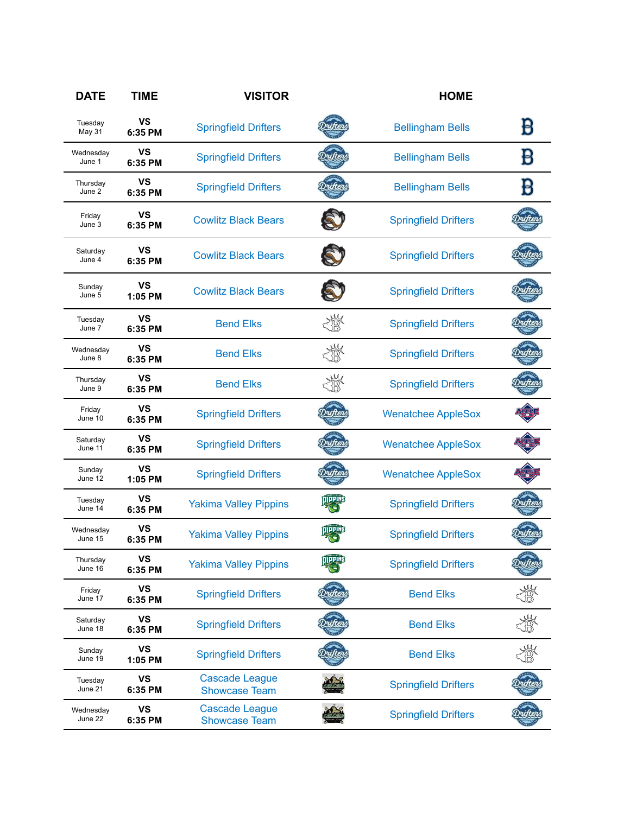| <b>DATE</b>          | <b>TIME</b>          | <b>VISITOR</b>                                |                | <b>HOME</b>                 |   |
|----------------------|----------------------|-----------------------------------------------|----------------|-----------------------------|---|
| Tuesday<br>May 31    | VS<br>6:35 PM        | <b>Springfield Drifters</b>                   |                | <b>Bellingham Bells</b>     | B |
| Wednesday<br>June 1  | <b>VS</b><br>6:35 PM | <b>Springfield Drifters</b>                   |                | <b>Bellingham Bells</b>     | B |
| Thursday<br>June 2   | <b>VS</b><br>6:35 PM | <b>Springfield Drifters</b>                   |                | <b>Bellingham Bells</b>     |   |
| Friday<br>June 3     | <b>VS</b><br>6:35 PM | <b>Cowlitz Black Bears</b>                    |                | <b>Springfield Drifters</b> |   |
| Saturday<br>June 4   | <b>VS</b><br>6:35 PM | <b>Cowlitz Black Bears</b>                    |                | <b>Springfield Drifters</b> |   |
| Sunday<br>June 5     | VS<br>1:05 PM        | <b>Cowlitz Black Bears</b>                    |                | <b>Springfield Drifters</b> |   |
| Tuesday<br>June 7    | <b>VS</b><br>6:35 PM | <b>Bend Elks</b>                              |                | <b>Springfield Drifters</b> |   |
| Wednesday<br>June 8  | <b>VS</b><br>6:35 PM | <b>Bend Elks</b>                              |                | <b>Springfield Drifters</b> |   |
| Thursday<br>June 9   | VS<br>6:35 PM        | <b>Bend Elks</b>                              |                | <b>Springfield Drifters</b> |   |
| Friday<br>June 10    | <b>VS</b><br>6:35 PM | <b>Springfield Drifters</b>                   |                | <b>Wenatchee AppleSox</b>   |   |
| Saturday<br>June 11  | <b>VS</b><br>6:35 PM | <b>Springfield Drifters</b>                   |                | <b>Wenatchee AppleSox</b>   |   |
| Sunday<br>June 12    | <b>VS</b><br>1:05 PM | <b>Springfield Drifters</b>                   |                | <b>Wenatchee AppleSox</b>   |   |
| Tuesday<br>June 14   | <b>VS</b><br>6:35 PM | <b>Yakima Valley Pippins</b>                  |                | <b>Springfield Drifters</b> |   |
| Wednesday<br>June 15 | <b>VS</b><br>6:35 PM | <b>Yakima Valley Pippins</b>                  |                | <b>Springfield Drifters</b> |   |
| Thursday<br>June 16  | <b>VS</b><br>6:35 PM | <b>Yakima Valley Pippins</b>                  | <b>TIPPINS</b> | <b>Springfield Drifters</b> |   |
| Friday<br>June 17    | <b>VS</b><br>6:35 PM | <b>Springfield Drifters</b>                   |                | <b>Bend Elks</b>            |   |
| Saturday<br>June 18  | <b>VS</b><br>6:35 PM | <b>Springfield Drifters</b>                   |                | <b>Bend Elks</b>            |   |
| Sunday<br>June 19    | <b>VS</b><br>1:05 PM | <b>Springfield Drifters</b>                   |                | <b>Bend Elks</b>            |   |
| Tuesday<br>June 21   | <b>VS</b><br>6:35 PM | <b>Cascade League</b><br><b>Showcase Team</b> |                | <b>Springfield Drifters</b> |   |
| Wednesday<br>June 22 | <b>VS</b><br>6:35 PM | <b>Cascade League</b><br><b>Showcase Team</b> |                | <b>Springfield Drifters</b> |   |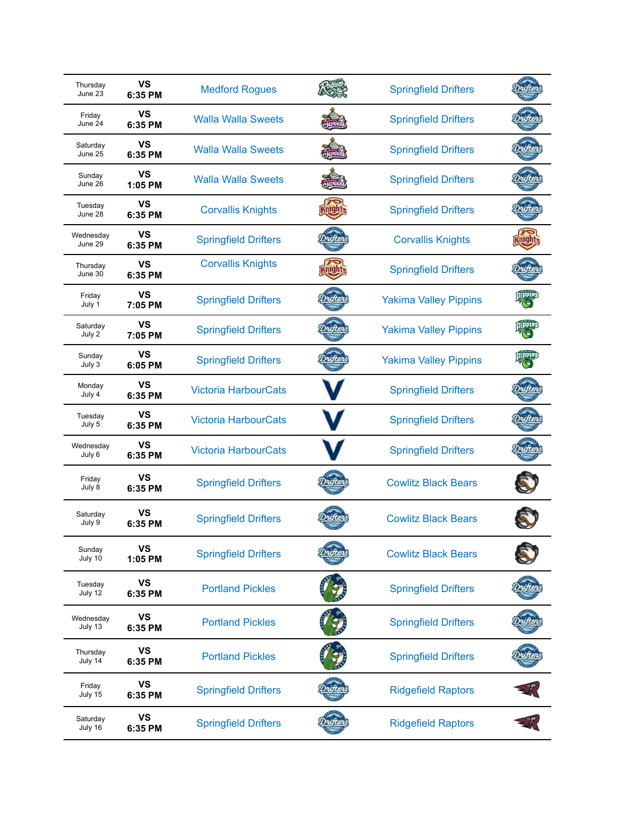| Thursday<br>June 23  | VS<br>6:35 PM        | <b>Medford Rogues</b>       |     | <b>Springfield Drifters</b>  |                |
|----------------------|----------------------|-----------------------------|-----|------------------------------|----------------|
| Friday<br>June 24    | <b>VS</b><br>6:35 PM | <b>Walla Walla Sweets</b>   |     | <b>Springfield Drifters</b>  |                |
| Saturday<br>June 25  | <b>VS</b><br>6:35 PM | <b>Walla Walla Sweets</b>   |     | <b>Springfield Drifters</b>  |                |
| Sunday<br>June 26    | VS<br>$1:05$ PM      | <b>Walla Walla Sweets</b>   |     | <b>Springfield Drifters</b>  |                |
| Tuesday<br>June 28   | VS<br>6:35 PM        | <b>Corvallis Knights</b>    | nun | <b>Springfield Drifters</b>  |                |
| Wednesday<br>June 29 | VS<br>6:35 PM        | <b>Springfield Drifters</b> |     | <b>Corvallis Knights</b>     | ANLULL         |
| Thursday<br>June 30  | VS<br>6:35 PM        | <b>Corvallis Knights</b>    |     | <b>Springfield Drifters</b>  |                |
| Friday<br>July 1     | VS<br>7:05 PM        | <b>Springfield Drifters</b> |     | <b>Yakima Valley Pippins</b> |                |
| Saturday<br>July 2   | VS<br>7:05 PM        | <b>Springfield Drifters</b> |     | <b>Yakima Valley Pippins</b> | <b>OIPPINS</b> |
| Sunday<br>July 3     | VS<br>6:05 PM        | <b>Springfield Drifters</b> |     | <b>Yakima Valley Pippins</b> |                |
| Monday<br>July 4     | <b>VS</b><br>6:35 PM | <b>Victoria HarbourCats</b> |     | <b>Springfield Drifters</b>  |                |
| Tuesday<br>July 5    | VS<br>6:35 PM        | <b>Victoria HarbourCats</b> |     | <b>Springfield Drifters</b>  |                |
| Wednesday<br>July 6  | <b>VS</b><br>6:35 PM | <b>Victoria HarbourCats</b> |     | <b>Springfield Drifters</b>  |                |
| Friday<br>July 8     | VS<br>6:35 PM        | <b>Springfield Drifters</b> |     | <b>Cowlitz Black Bears</b>   |                |
| Saturday<br>July 9   | VS<br>6:35 PM        | <b>Springfield Drifters</b> |     | <b>Cowlitz Black Bears</b>   |                |
| Sunday<br>July 10    | <b>VS</b><br>1:05 PM | <b>Springfield Drifters</b> |     | <b>Cowlitz Black Bears</b>   |                |
| Tuesday<br>July 12   | <b>VS</b><br>6:35 PM | <b>Portland Pickles</b>     |     | <b>Springfield Drifters</b>  |                |
| Wednesday<br>July 13 | <b>VS</b><br>6:35 PM | <b>Portland Pickles</b>     |     | <b>Springfield Drifters</b>  |                |
| Thursday<br>July 14  | <b>VS</b><br>6:35 PM | <b>Portland Pickles</b>     |     | <b>Springfield Drifters</b>  |                |
| Friday<br>July 15    | <b>VS</b><br>6:35 PM | <b>Springfield Drifters</b> |     | <b>Ridgefield Raptors</b>    |                |
| Saturday<br>July 16  | <b>VS</b><br>6:35 PM | <b>Springfield Drifters</b> |     | <b>Ridgefield Raptors</b>    |                |